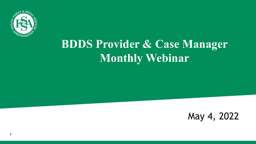

**1**

#### **BDDS Provider & Case Manager Monthly Webinar**

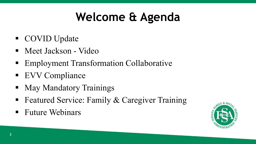### **Welcome & Agenda**

- COVID Update
- Meet Jackson Video
- Employment Transformation Collaborative
- EVV Compliance
- May Mandatory Trainings
- Featured Service: Family & Caregiver Training
- **Future Webinars**

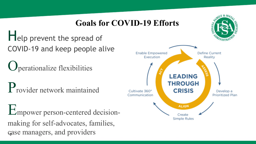#### **Goals for COVID-19 Efforts**

Help prevent the spread of COVID-19 and keep people alive

Operationalize flexibilities

Provider network maintained

**3** case managers, and providersEmpower person-centered decisionmaking for self-advocates, families,



 $N^X$  & So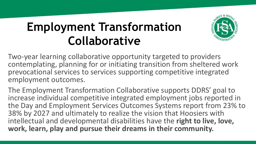#### **Employment Transformation Collaborative**



Two-year learning collaborative opportunity targeted to providers contemplating, planning for or initiating transition from sheltered work prevocational services to services supporting competitive integrated employment outcomes.

The Employment Transformation Collaborative supports DDRS' goal to increase individual competitive integrated employment jobs reported in the Day and Employment Services Outcomes Systems report from 23% to 38% by 2027 and ultimately to realize the vision that Hoosiers with intellectual and developmental disabilities have the **right to live, love, work, learn, play and pursue their dreams in their community.**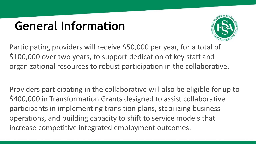#### **General Information**



Participating providers will receive \$50,000 per year, for a total of \$100,000 over two years, to support dedication of key staff and organizational resources to robust participation in the collaborative.

Providers participating in the collaborative will also be eligible for up to \$400,000 in Transformation Grants designed to assist collaborative participants in implementing transition plans, stabilizing business operations, and building capacity to shift to service models that increase competitive integrated employment outcomes.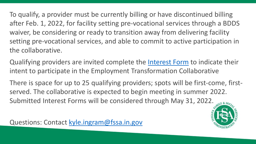To qualify, a provider must be currently billing or have discontinued billing after Feb. 1, 2022, for facility setting pre-vocational services through a BDDS waiver, be considering or ready to transition away from delivering facility setting pre-vocational services, and able to commit to active participation in the collaborative.

Qualifying providers are invited complete the [Interest Form](https://lnks.gd/l/eyJhbGciOiJIUzI1NiJ9.eyJidWxsZXRpbl9saW5rX2lkIjoxMDAsInVyaSI6ImJwMjpjbGljayIsImJ1bGxldGluX2lkIjoiMjAyMjA0MjUuNTY5NTExNTEiLCJ1cmwiOiJodHRwczovL2Zvcm1zLm9mZmljZS5jb20vZy9NU3AzRjhnTlRKIn0.7_xnamPJ3xy3aURf-_3BgLsgqLcFNB_pMpuDdsBVY0g/s/770602635/br/130318527982-l) to indicate their intent to participate in the Employment Transformation Collaborative

There is space for up to 25 qualifying providers; spots will be first-come, firstserved. The collaborative is expected to begin meeting in summer 2022. Submitted Interest Forms will be considered through May 31, 2022.

Questions: Contact [kyle.ingram@fssa.in.gov](mailto:kyle.ingram@fssa.in.gov)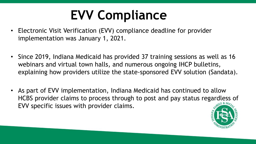# **EVV Compliance**

- Electronic Visit Verification (EVV) compliance deadline for provider implementation was January 1, 2021.
- Since 2019, Indiana Medicaid has provided 37 training sessions as well as 16 webinars and virtual town halls, and numerous ongoing IHCP bulletins, explaining how providers utilize the state-sponsored EVV solution (Sandata).
- As part of EVV implementation, Indiana Medicaid has continued to allow HCBS provider claims to process through to post and pay status regardless of EVV specific issues with provider claims.

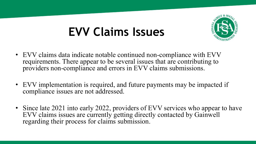#### **EVV Claims Issues**



- EVV claims data indicate notable continued non-compliance with EVV requirements. There appear to be several issues that are contributing to providers non-compliance and errors in EVV claims submissions.
- EVV implementation is required, and future payments may be impacted if compliance issues are not addressed.
- Since late 2021 into early 2022, providers of EVV services who appear to have EVV claims issues are currently getting directly contacted by Gainwell regarding their process for claims submission.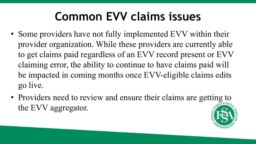#### **Common EVV claims issues**

- Some providers have not fully implemented EVV within their provider organization. While these providers are currently able to get claims paid regardless of an EVV record present or EVV claiming error, the ability to continue to have claims paid will be impacted in coming months once EVV-eligible claims edits go live.
- Providers need to review and ensure their claims are getting to the EVV aggregator.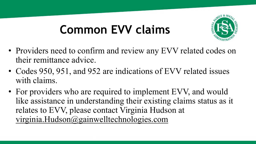### **Common EVV claims**



- Providers need to confirm and review any EVV related codes on their remittance advice.
- Codes 950, 951, and 952 are indications of EVV related issues with claims.
- For providers who are required to implement EVV, and would like assistance in understanding their existing claims status as it relates to EVV, please contact Virginia Hudson at [virginia.Hudson@gainwelltechnologies.com](mailto:virginia.Hudson@gainwelltechnologies.com)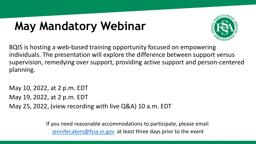### **May Mandatory Webinar**



BQIS is hosting a web-based training opportunity focused on empowering individuals. The presentation will explore the difference between support versus supervision, remedying over support, providing active support and person-centered planning.

May 10, 2022, at 2 p.m. EDT May 19, 2022, at 2 p.m. EDT May 25, 2022, (view recording with live Q&A) 10 a.m. EDT

> If you need reasonable accommodations to participate, please email [jennifer.akers@fssa.in.gov](mailto:jennifer.akers@fssa.in.gov) at least three days prior to the event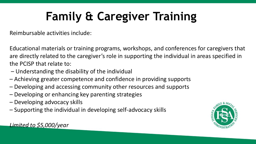## **Family & Caregiver Training**

Reimbursable activities include:

Educational materials or training programs, workshops, and conferences for caregivers that are directly related to the caregiver's role in supporting the individual in areas specified in the PCISP that relate to:

- Understanding the disability of the individual
- Achieving greater competence and confidence in providing supports
- Developing and accessing community other resources and supports
- Developing or enhancing key parenting strategies
- Developing advocacy skills
- Supporting the individual in developing self-advocacy skills



*Limited to \$5,000/year*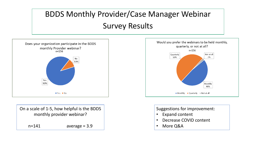#### BDDS Monthly Provider/Case Manager Webinar Survey Results



On a scale of 1-5, how helpful is the BDDS monthly provider webinar?  $n=141$  average = 3.9



Suggestions for improvement:

- Expand content
- Decrease COVID content
- More Q&A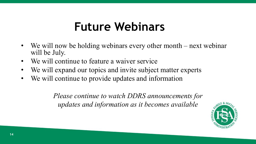#### **Future Webinars**

- We will now be holding webinars every other month next webinar will be July.
- We will continue to feature a waiver service
- We will expand our topics and invite subject matter experts
- We will continue to provide updates and information

*Please continue to watch DDRS announcements for updates and information as it becomes available*